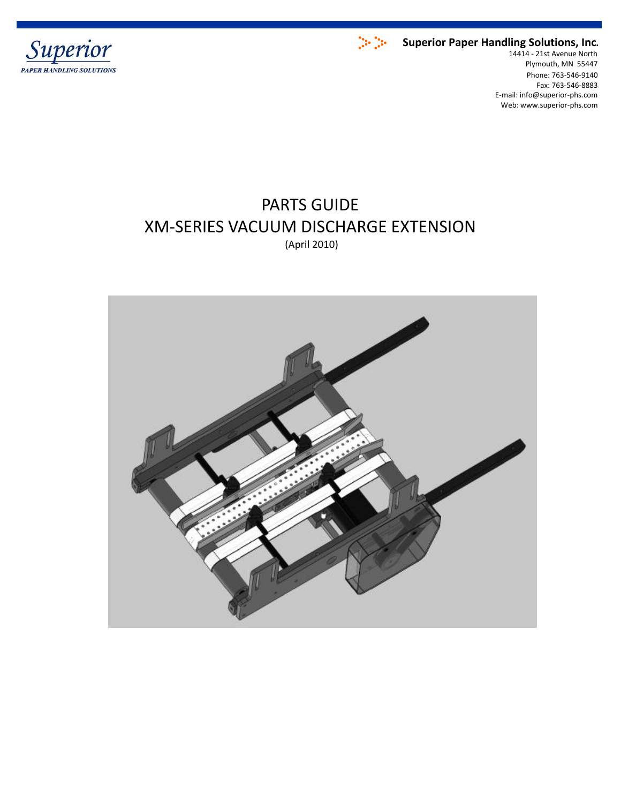



Phone: 763-546-9140 Fax: 763-546-8883 E-mail: info@superior-phs.com Web: www.superior-phs.com 14414 - 21st Avenue North Plymouth, MN 55447

# PARTS GUIDE XM-SERIES VACUUM DISCHARGE EXTENSION (April 2010)

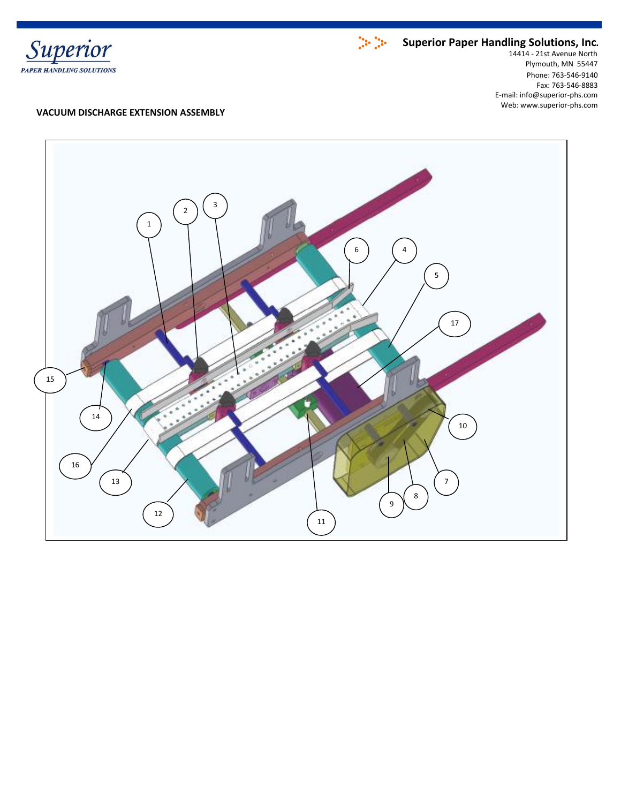



Phone: 763-546-9140 Fax: 763-546-8883 E-mail: info@superior-phs.com Web: www.superior-phs.com 14414 - 21st Avenue North Plymouth, MN 55447

#### **VACUUM DISCHARGE EXTENSION ASSEMBLY**

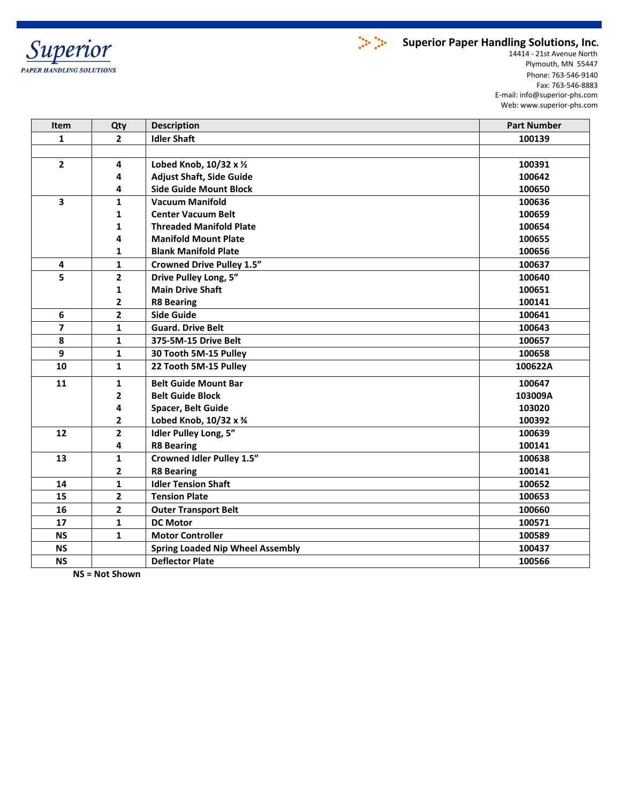



Phone: 763-546-9140 Fax: 763-546-8883 E-mail: info@superior-phs.com Web: www.superior-phs.com 14414 - 21st Avenue North Plymouth, MN 55447

| <b>Item</b>             | Qty            | <b>Description</b>                      | <b>Part Number</b> |
|-------------------------|----------------|-----------------------------------------|--------------------|
| $\mathbf{1}$            | $\overline{2}$ | <b>Idler Shaft</b>                      | 100139             |
|                         |                |                                         |                    |
| $\overline{2}$          | 4              | Lobed Knob, 10/32 x 1/2                 | 100391             |
|                         | 4              | <b>Adjust Shaft, Side Guide</b>         | 100642             |
|                         | 4              | <b>Side Guide Mount Block</b>           | 100650             |
| $\overline{\mathbf{3}}$ | $\mathbf{1}$   | <b>Vacuum Manifold</b>                  | 100636             |
|                         | $\mathbf{1}$   | <b>Center Vacuum Belt</b>               | 100659             |
|                         | $\mathbf{1}$   | <b>Threaded Manifold Plate</b>          | 100654             |
|                         | 4              | <b>Manifold Mount Plate</b>             | 100655             |
|                         | 1              | <b>Blank Manifold Plate</b>             | 100656             |
| 4                       | $\mathbf{1}$   | <b>Crowned Drive Pulley 1.5"</b>        | 100637             |
| 5                       | $\overline{2}$ | Drive Pulley Long, 5"                   | 100640             |
|                         | $\mathbf{1}$   | <b>Main Drive Shaft</b>                 | 100651             |
|                         | $\overline{2}$ | <b>R8 Bearing</b>                       | 100141             |
| 6                       | $\mathbf{2}$   | <b>Side Guide</b>                       | 100641             |
| 7                       | $\mathbf{1}$   | <b>Guard. Drive Belt</b>                | 100643             |
| 8                       | $\mathbf{1}$   | 375-5M-15 Drive Belt                    | 100657             |
| 9                       | $\mathbf{1}$   | 30 Tooth 5M-15 Pulley                   | 100658             |
| 10                      | $\mathbf{1}$   | 22 Tooth 5M-15 Pulley                   | 100622A            |
| 11                      | $\mathbf{1}$   | <b>Belt Guide Mount Bar</b>             | 100647             |
|                         | $\mathbf{2}$   | <b>Belt Guide Block</b>                 | 103009A            |
|                         | 4              | Spacer, Belt Guide                      | 103020             |
|                         | $\mathbf{2}$   | Lobed Knob, 10/32 x 3/4                 | 100392             |
| 12                      | $\overline{2}$ | Idler Pulley Long, 5"                   | 100639             |
|                         | 4              | <b>R8 Bearing</b>                       | 100141             |
| 13                      | $\mathbf{1}$   | <b>Crowned Idler Pulley 1.5"</b>        | 100638             |
|                         | $\mathbf{2}$   | <b>R8 Bearing</b>                       | 100141             |
| 14                      | $\mathbf{1}$   | <b>Idler Tension Shaft</b>              | 100652             |
| 15                      | $\overline{2}$ | <b>Tension Plate</b>                    | 100653             |
| 16                      | $\overline{2}$ | <b>Outer Transport Belt</b>             | 100660             |
| 17                      | $\mathbf{1}$   | <b>DC Motor</b>                         | 100571             |
| <b>NS</b>               | $\mathbf{1}$   | <b>Motor Controller</b>                 | 100589             |
| <b>NS</b>               |                | <b>Spring Loaded Nip Wheel Assembly</b> | 100437             |
| <b>NS</b>               |                | <b>Deflector Plate</b>                  | 100566             |

**NS = Not Shown**